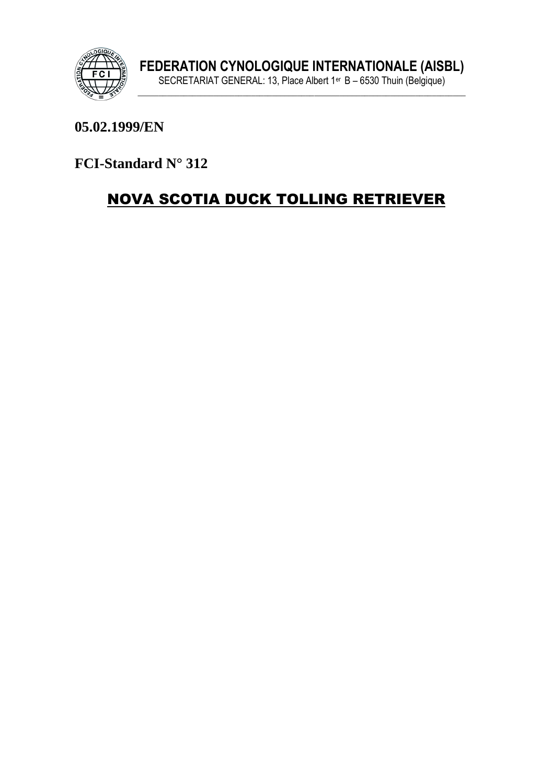

#### 05.02.1999/EN

FCI-Standard N° 312

# **NOVA SCOTIA DUCK TOLLING RETRIEVER**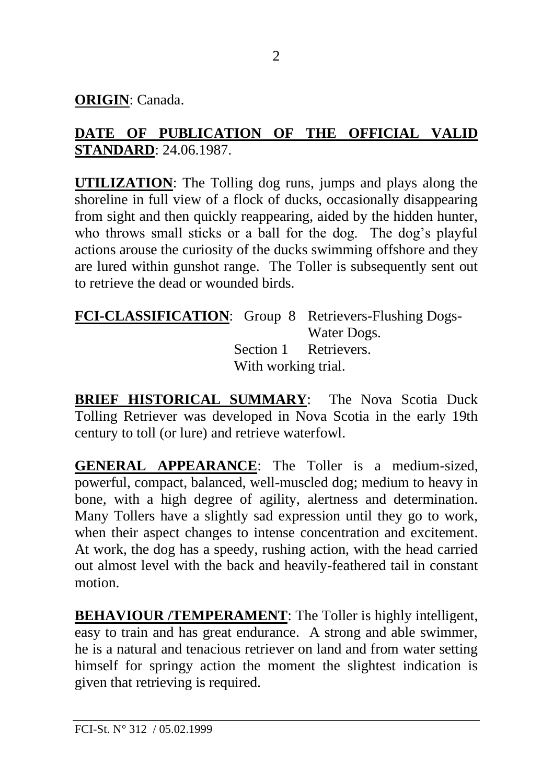**ORIGIN**: Canada.

## **DATE OF PUBLICATION OF THE OFFICIAL VALID STANDARD**: 24.06.1987.

**UTILIZATION**: The Tolling dog runs, jumps and plays along the shoreline in full view of a flock of ducks, occasionally disappearing from sight and then quickly reappearing, aided by the hidden hunter, who throws small sticks or a ball for the dog. The dog's playful actions arouse the curiosity of the ducks swimming offshore and they are lured within gunshot range. The Toller is subsequently sent out to retrieve the dead or wounded birds.

**FCI-CLASSIFICATION**: Group 8 Retrievers-Flushing Dogs-Water Dogs. Section 1 Retrievers. With working trial.

**BRIEF HISTORICAL SUMMARY:** The Nova Scotia Duck Tolling Retriever was developed in Nova Scotia in the early 19th century to toll (or lure) and retrieve waterfowl.

**GENERAL APPEARANCE**: The Toller is a medium-sized, powerful, compact, balanced, well-muscled dog; medium to heavy in bone, with a high degree of agility, alertness and determination. Many Tollers have a slightly sad expression until they go to work, when their aspect changes to intense concentration and excitement. At work, the dog has a speedy, rushing action, with the head carried out almost level with the back and heavily-feathered tail in constant motion.

**BEHAVIOUR /TEMPERAMENT**: The Toller is highly intelligent, easy to train and has great endurance. A strong and able swimmer, he is a natural and tenacious retriever on land and from water setting himself for springy action the moment the slightest indication is given that retrieving is required.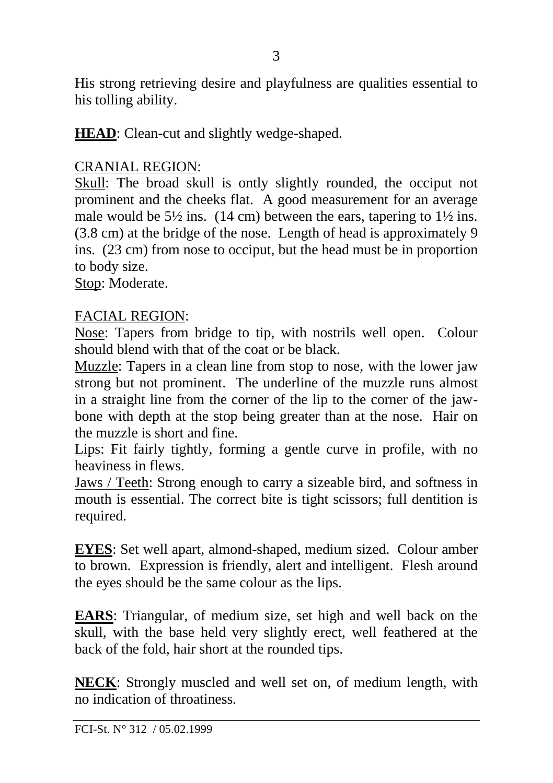His strong retrieving desire and playfulness are qualities essential to his tolling ability.

**HEAD**: Clean-cut and slightly wedge-shaped.

#### CRANIAL REGION:

Skull: The broad skull is ontly slightly rounded, the occiput not prominent and the cheeks flat. A good measurement for an average male would be  $5\frac{1}{2}$  ins. (14 cm) between the ears, tapering to  $1\frac{1}{2}$  ins. (3.8 cm) at the bridge of the nose. Length of head is approximately 9 ins. (23 cm) from nose to occiput, but the head must be in proportion to body size.

Stop: Moderate.

#### FACIAL REGION:

Nose: Tapers from bridge to tip, with nostrils well open. Colour should blend with that of the coat or be black.

Muzzle: Tapers in a clean line from stop to nose, with the lower jaw strong but not prominent. The underline of the muzzle runs almost in a straight line from the corner of the lip to the corner of the jawbone with depth at the stop being greater than at the nose. Hair on the muzzle is short and fine.

Lips: Fit fairly tightly, forming a gentle curve in profile, with no heaviness in flews.

Jaws / Teeth: Strong enough to carry a sizeable bird, and softness in mouth is essential. The correct bite is tight scissors; full dentition is required.

**EYES**: Set well apart, almond-shaped, medium sized. Colour amber to brown. Expression is friendly, alert and intelligent. Flesh around the eyes should be the same colour as the lips.

**EARS**: Triangular, of medium size, set high and well back on the skull, with the base held very slightly erect, well feathered at the back of the fold, hair short at the rounded tips.

**NECK**: Strongly muscled and well set on, of medium length, with no indication of throatiness.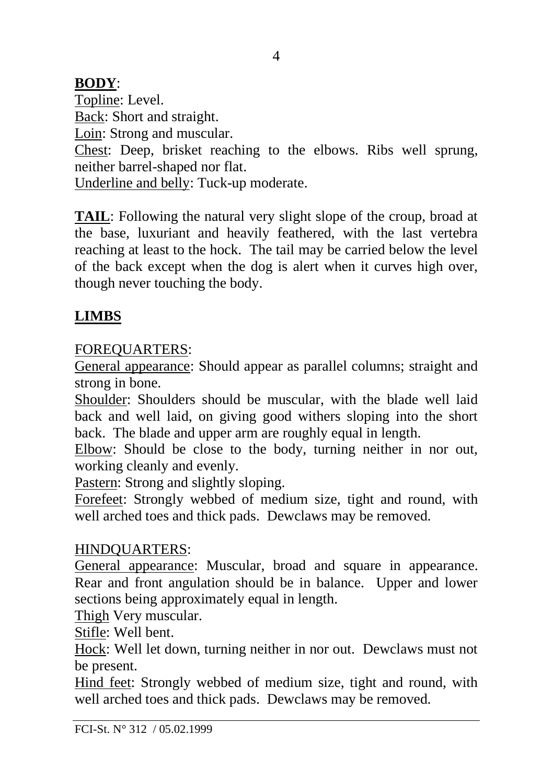## **BODY**:

Topline: Level. Back: Short and straight. Loin: Strong and muscular. Chest: Deep, brisket reaching to the elbows. Ribs well sprung, neither barrel-shaped nor flat. Underline and belly: Tuck-up moderate.

**TAIL**: Following the natural very slight slope of the croup, broad at the base, luxuriant and heavily feathered, with the last vertebra reaching at least to the hock. The tail may be carried below the level of the back except when the dog is alert when it curves high over, though never touching the body.

# **LIMBS**

## FOREQUARTERS:

General appearance: Should appear as parallel columns; straight and strong in bone.

Shoulder: Shoulders should be muscular, with the blade well laid back and well laid, on giving good withers sloping into the short back. The blade and upper arm are roughly equal in length.

Elbow: Should be close to the body, turning neither in nor out, working cleanly and evenly.

Pastern: Strong and slightly sloping.

Forefeet: Strongly webbed of medium size, tight and round, with well arched toes and thick pads. Dewclaws may be removed.

## HINDQUARTERS:

General appearance: Muscular, broad and square in appearance. Rear and front angulation should be in balance. Upper and lower sections being approximately equal in length.

Thigh Very muscular.

Stifle: Well bent.

Hock: Well let down, turning neither in nor out. Dewclaws must not be present.

Hind feet: Strongly webbed of medium size, tight and round, with well arched toes and thick pads. Dewclaws may be removed.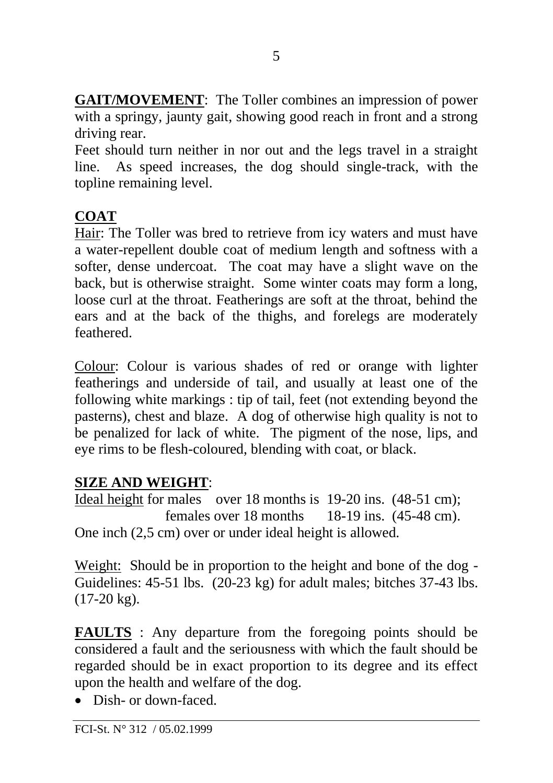**GAIT/MOVEMENT**: The Toller combines an impression of power with a springy, jaunty gait, showing good reach in front and a strong driving rear.

Feet should turn neither in nor out and the legs travel in a straight line. As speed increases, the dog should single-track, with the topline remaining level.

# **COAT**

Hair: The Toller was bred to retrieve from icy waters and must have a water-repellent double coat of medium length and softness with a softer, dense undercoat. The coat may have a slight wave on the back, but is otherwise straight. Some winter coats may form a long, loose curl at the throat. Featherings are soft at the throat, behind the ears and at the back of the thighs, and forelegs are moderately feathered.

Colour: Colour is various shades of red or orange with lighter featherings and underside of tail, and usually at least one of the following white markings : tip of tail, feet (not extending beyond the pasterns), chest and blaze. A dog of otherwise high quality is not to be penalized for lack of white. The pigment of the nose, lips, and eye rims to be flesh-coloured, blending with coat, or black.

## **SIZE AND WEIGHT**:

Ideal height for males over 18 months is 19-20 ins. (48-51 cm); females over 18 months 18-19 ins. (45-48 cm). One inch (2,5 cm) over or under ideal height is allowed.

Weight: Should be in proportion to the height and bone of the dog - Guidelines: 45-51 lbs. (20-23 kg) for adult males; bitches 37-43 lbs. (17-20 kg).

**FAULTS** : Any departure from the foregoing points should be considered a fault and the seriousness with which the fault should be regarded should be in exact proportion to its degree and its effect upon the health and welfare of the dog.

• Dish- or down-faced.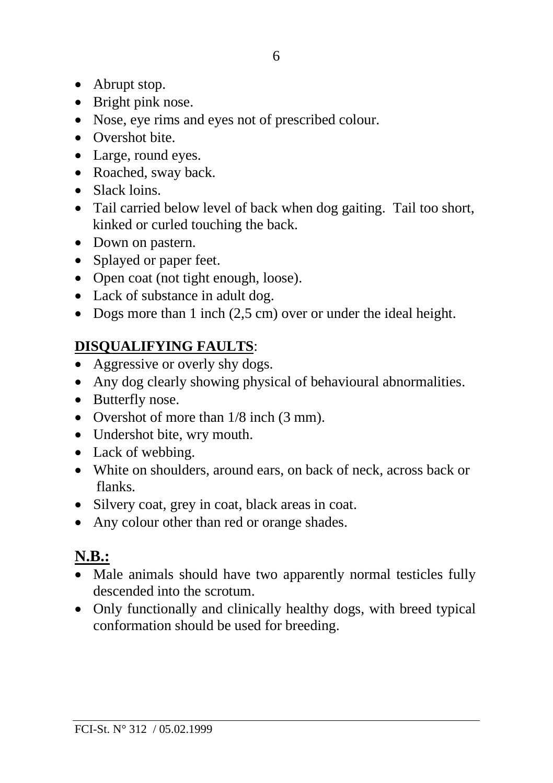- Abrupt stop.
- Bright pink nose.
- Nose, eye rims and eyes not of prescribed colour.
- Overshot bite.
- Large, round eyes.
- Roached, sway back.
- Slack loins.
- Tail carried below level of back when dog gaiting. Tail too short, kinked or curled touching the back.
- Down on pastern.
- Splayed or paper feet.
- Open coat (not tight enough, loose).
- Lack of substance in adult dog.
- Dogs more than 1 inch (2,5 cm) over or under the ideal height.

# **DISQUALIFYING FAULTS**:

- Aggressive or overly shy dogs.
- Any dog clearly showing physical of behavioural abnormalities.
- Butterfly nose.
- Overshot of more than  $1/8$  inch (3 mm).
- Undershot bite, wry mouth.
- Lack of webbing.
- White on shoulders, around ears, on back of neck, across back or flanks.
- Silvery coat, grey in coat, black areas in coat.
- Any colour other than red or orange shades.

# **N.B.:**

- Male animals should have two apparently normal testicles fully descended into the scrotum.
- Only functionally and clinically healthy dogs, with breed typical conformation should be used for breeding.